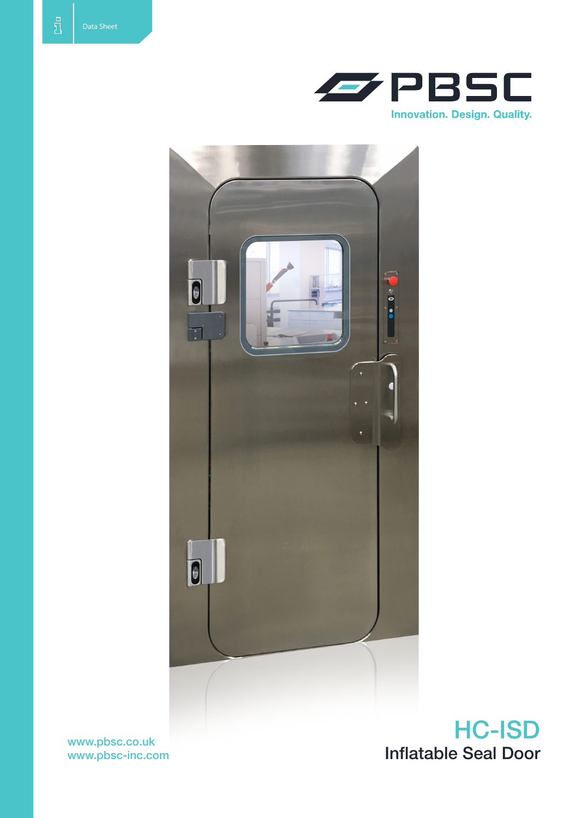



www.pbsc.co.uk www.pbsc-inc.com

HC-ISD Inflatable Seal Door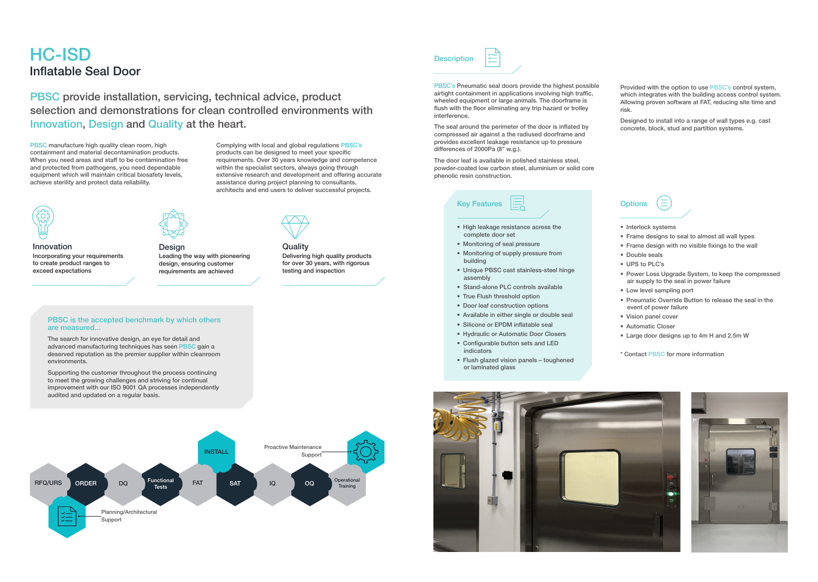## HC-ISD Inflatable Seal Door

PBSC's Pneumatic seal doors provide the highest possible airtight containment in applications involving high traffic, wheeled equipment or large animals. The doorframe is flush with the floor eliminating any trip hazard or trolley interference.

The seal around the perimeter of the door is inflated by compressed air against a the radiused doorframe and provides excellent leakage resistance up to pressure differences of 2000Pa (8" w.g.).

The door leaf is available in polished stainless steel, powder-coated low carbon steel, aluminium or solid core phenolic resin construction.

Provided with the option to use PBSC's control system, which integrates with the building access control system. Allowing proven software at FAT, reducing site time and risk.

- High leakage resistance across the complete door set
- Monitoring of seal pressure
- Monitoring of supply pressure from building
- • Unique PBSC cast stainless-steel hinge assembly
- Stand-alone PLC controls available
- True Flush threshold option
- Door leaf construction options
- Available in either single or double seal
- Silicone or EPDM inflatable seal
- • Hydraulic or Automatic Door Closers
- Configurable button sets and LED indicators
- Flush glazed vision panels toughened or laminated glass



Designed to install into a range of wall types e.g. cast concrete, block, stud and partition systems.

## **Options**





- Interlock systems
- Frame designs to seal to almost all wall types
- Frame design with no visible fixings to the wall
- Double seals
- UPS to PLC's
- Power Loss Upgrade System, to keep the compressed air supply to the seal in power failure
- Low level sampling port
- Pneumatic Override Button to release the seal in the event of power failure
- • Vision panel cover
- Automatic Closer
- Large door designs up to 4m H and 2.5m W
- \* Contact PBSC for more information



PBSC manufacture high quality clean room, high containment and material decontamination products. When you need areas and staff to be contamination free and protected from pathogens, you need dependable equipment which will maintain critical biosafety levels, achieve sterility and protect data reliability.

PBSC provide installation, servicing, technical advice, product selection and demonstrations for clean controlled environments with Innovation, Design and Quality at the heart.

> Complying with local and global regulations PBSC's products can be designed to meet your specific requirements. Over 30 years knowledge and competence within the specialist sectors, always going through extensive research and development and offering accurate assistance during project planning to consultants, architects and end users to deliver successful projects.

> > **Quality**

Innovation Incorporating your requirements to create product ranges to exceed expectations



Delivering high quality products for over 30 years, with rigorous

testing and inspection



Design Leading the way with pioneering design, ensuring customer requirements are achieved

## PBSC is the accepted benchmark by which others are measured...

The search for innovative design, an eye for detail and advanced manufacturing techniques has seen PBSC gain a deserved reputation as the premier supplier within cleanroom environments.

Supporting the customer throughout the process continuing to meet the growing challenges and striving for continual improvement with our ISO 9001 QA processes independently audited and updated on a regular basis.



**Description**